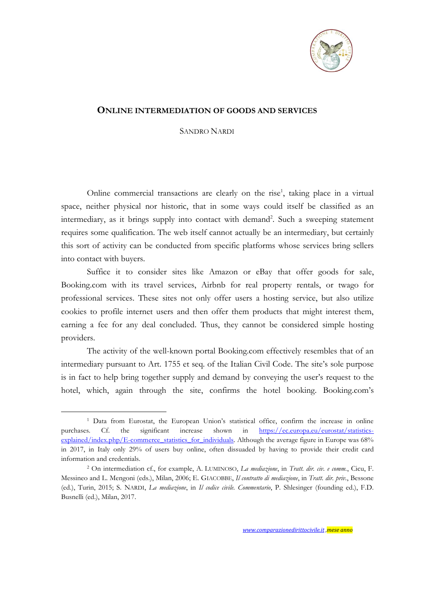

## **ONLINE INTERMEDIATION OF GOODS AND SERVICES**

SANDRO NARDI

Online commercial transactions are clearly on the rise<sup>1</sup>, taking place in a virtual space, neither physical nor historic, that in some ways could itself be classified as an intermediary, as it brings supply into contact with demand<sup>2</sup>. Such a sweeping statement requires some qualification. The web itself cannot actually be an intermediary, but certainly this sort of activity can be conducted from specific platforms whose services bring sellers into contact with buyers.

Suffice it to consider sites like Amazon or eBay that offer goods for sale, Booking.com with its travel services, Airbnb for real property rentals, or twago for professional services. These sites not only offer users a hosting service, but also utilize cookies to profile internet users and then offer them products that might interest them, earning a fee for any deal concluded. Thus, they cannot be considered simple hosting providers.

The activity of the well-known portal Booking.com effectively resembles that of an intermediary pursuant to Art. 1755 et seq. of the Italian Civil Code. The site's sole purpose is in fact to help bring together supply and demand by conveying the user's request to the hotel, which, again through the site, confirms the hotel booking. Booking.com's

<u>.</u>

<sup>1</sup> Data from Eurostat, the European Union's statistical office, confirm the increase in online purchases. Cf. the significant increase shown in [https://ec.europa.eu/eurostat/statistics](https://ec.europa.eu/eurostat/statistics-explained/index.php/E-commerce_statistics_for_individuals)[explained/index.php/E-commerce\\_statistics\\_for\\_individuals.](https://ec.europa.eu/eurostat/statistics-explained/index.php/E-commerce_statistics_for_individuals) Although the average figure in Europe was 68% in 2017, in Italy only 29% of users buy online, often dissuaded by having to provide their credit card information and credentials.

<sup>2</sup> On intermediation cf., for example, A. LUMINOSO, *La mediazione*, in *Tratt. dir. civ. e comm.*, Cicu, F. Messineo and L. Mengoni (eds.), Milan, 2006; E. GIACOBBE, *Il contratto di mediazione*, in *Tratt. dir. priv.*, Bessone (ed.), Turin, 2015; S. NARDI, *La mediazione*, in *Il codice civile. Commentario*, P. Shlesinger (founding ed.), F.D. Busnelli (ed.), Milan, 2017.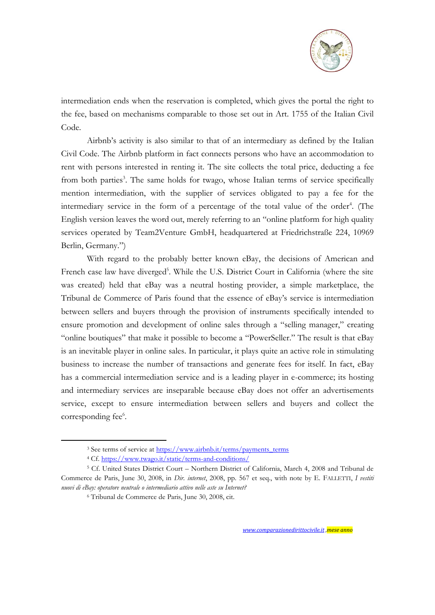

intermediation ends when the reservation is completed, which gives the portal the right to the fee, based on mechanisms comparable to those set out in Art. 1755 of the Italian Civil Code.

Airbnb's activity is also similar to that of an intermediary as defined by the Italian Civil Code. The Airbnb platform in fact connects persons who have an accommodation to rent with persons interested in renting it. The site collects the total price, deducting a fee from both parties<sup>3</sup>. The same holds for twago, whose Italian terms of service specifically mention intermediation, with the supplier of services obligated to pay a fee for the intermediary service in the form of a percentage of the total value of the order<sup>4</sup>. (The English version leaves the word out, merely referring to an "online platform for high quality services operated by Team2Venture GmbH, headquartered at Friedrichstraße 224, 10969 Berlin, Germany.")

With regard to the probably better known eBay, the decisions of American and French case law have diverged<sup>5</sup>. While the U.S. District Court in California (where the site was created) held that eBay was a neutral hosting provider, a simple marketplace, the Tribunal de Commerce of Paris found that the essence of eBay's service is intermediation between sellers and buyers through the provision of instruments specifically intended to ensure promotion and development of online sales through a "selling manager," creating "online boutiques" that make it possible to become a "PowerSeller." The result is that eBay is an inevitable player in online sales. In particular, it plays quite an active role in stimulating business to increase the number of transactions and generate fees for itself. In fact, eBay has a commercial intermediation service and is a leading player in e-commerce; its hosting and intermediary services are inseparable because eBay does not offer an advertisements service, except to ensure intermediation between sellers and buyers and collect the corresponding fee<sup>6</sup>.

<u>.</u>

<sup>&</sup>lt;sup>3</sup> See terms of service at [https://www.airbnb.it/terms/payments\\_terms](https://www.airbnb.it/terms/payments_terms)

<sup>4</sup> Cf.<https://www.twago.it/static/terms-and-conditions/>

<sup>5</sup> Cf. United States District Court – Northern District of California, March 4, 2008 and Tribunal de Commerce de Paris, June 30, 2008, in *Dir. internet*, 2008, pp. 567 et seq., with note by E. FALLETTI, *I vestiti nuovi di eBay: operatore neutrale o intermediario attivo nelle aste su Internet?*

<sup>6</sup> Tribunal de Commerce de Paris, June 30, 2008, cit.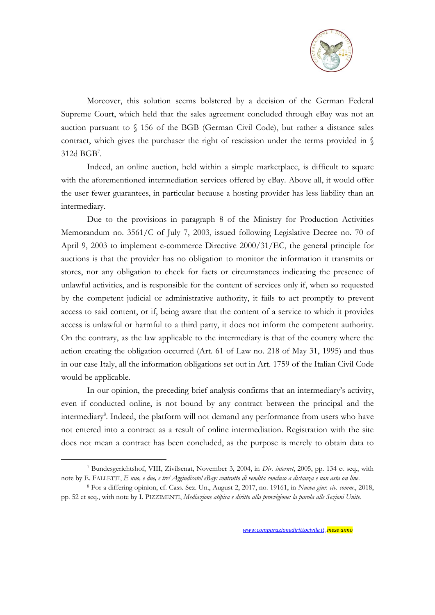

Moreover, this solution seems bolstered by a decision of the German Federal Supreme Court, which held that the sales agreement concluded through eBay was not an auction pursuant to § 156 of the BGB (German Civil Code), but rather a distance sales contract, which gives the purchaser the right of rescission under the terms provided in § 312d BGB<sup>7</sup> .

Indeed, an online auction, held within a simple marketplace, is difficult to square with the aforementioned intermediation services offered by eBay. Above all, it would offer the user fewer guarantees, in particular because a hosting provider has less liability than an intermediary.

Due to the provisions in paragraph 8 of the Ministry for Production Activities Memorandum no. 3561/C of July 7, 2003, issued following Legislative Decree no. 70 of April 9, 2003 to implement e-commerce Directive 2000/31/EC, the general principle for auctions is that the provider has no obligation to monitor the information it transmits or stores, nor any obligation to check for facts or circumstances indicating the presence of unlawful activities, and is responsible for the content of services only if, when so requested by the competent judicial or administrative authority, it fails to act promptly to prevent access to said content, or if, being aware that the content of a service to which it provides access is unlawful or harmful to a third party, it does not inform the competent authority. On the contrary, as the law applicable to the intermediary is that of the country where the action creating the obligation occurred (Art. 61 of Law no. 218 of May 31, 1995) and thus in our case Italy, all the information obligations set out in Art. 1759 of the Italian Civil Code would be applicable.

In our opinion, the preceding brief analysis confirms that an intermediary's activity, even if conducted online, is not bound by any contract between the principal and the intermediary<sup>8</sup>. Indeed, the platform will not demand any performance from users who have not entered into a contract as a result of online intermediation. Registration with the site does not mean a contract has been concluded, as the purpose is merely to obtain data to

<u>.</u>

<sup>7</sup> Bundesgerichtshof, VIII, Zivilsenat, November 3, 2004, in *Dir. internet*, 2005, pp. 134 et seq., with note by E. FALLETTI, *E uno, e due, e tre! Aggiudicato! eBay: contratto di vendita concluso a distanza e non asta on line*.

<sup>8</sup> For a differing opinion, cf. Cass. Sez. Un., August 2, 2017, no. 19161, in *Nuova giur. civ. comm*., 2018, pp. 52 et seq., with note by I. PIZZIMENTI, *Mediazione atipica e diritto alla provvigione: la parola alle Sezioni Unite*.